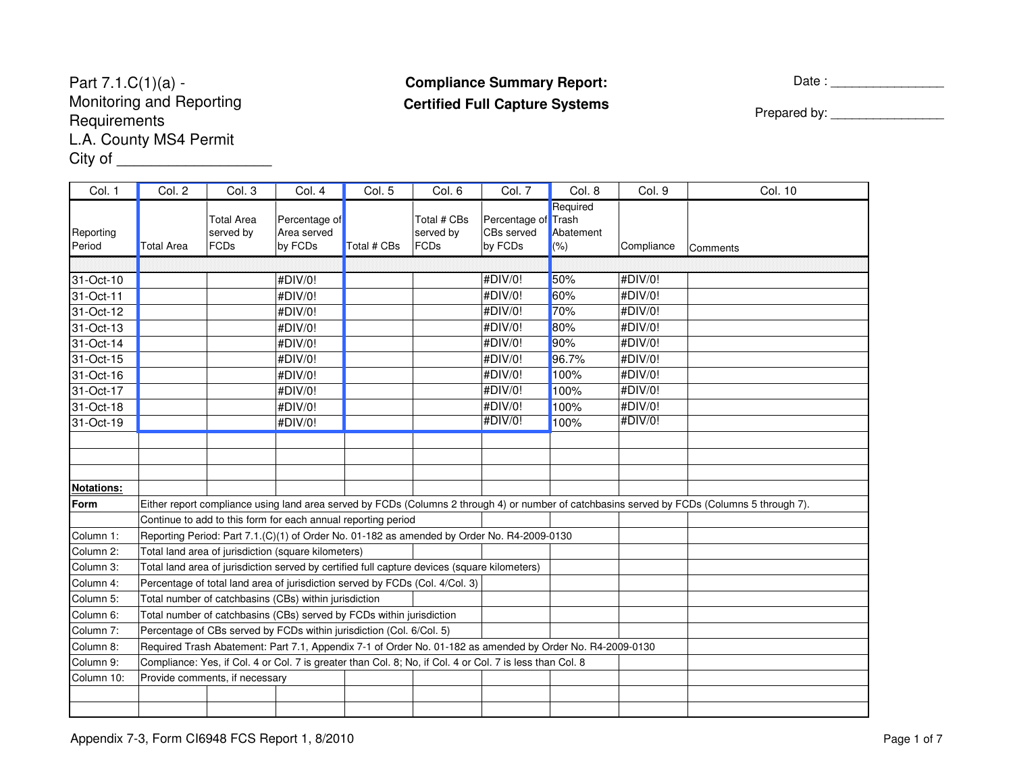### Part 7.1.C(1)(a) - Monitoring and Reporting**Requirements**  L.A. County MS4 PermitCity of \_\_\_\_\_\_\_\_\_\_\_\_\_\_\_\_\_\_\_\_\_\_\_\_\_

# **Compliance Summary Report:Certified Full Capture Systems**

Date : \_\_\_\_\_\_\_\_\_\_\_\_\_\_\_\_

Prepared by: \_\_\_\_\_\_\_\_\_\_\_\_\_\_\_\_

| Col. 1              | Col. 2            | Col. 3                                                                                                    | Col. 4                                  | Col. 5      | Col. 6                                  | Col. 7                                       | Col. 8                           | Col. 9     | Col. 10                                                                                                                                      |
|---------------------|-------------------|-----------------------------------------------------------------------------------------------------------|-----------------------------------------|-------------|-----------------------------------------|----------------------------------------------|----------------------------------|------------|----------------------------------------------------------------------------------------------------------------------------------------------|
| Reporting<br>Period | <b>Total Area</b> | <b>Total Area</b><br>served by<br>FCDs                                                                    | Percentage of<br>Area served<br>by FCDs | Total # CBs | Total # CBs<br>served by<br><b>FCDs</b> | Percentage of Trash<br>CBs served<br>by FCDs | Required<br>Abatement<br>$(\% )$ | Compliance | Comments                                                                                                                                     |
|                     |                   |                                                                                                           |                                         |             |                                         |                                              |                                  |            |                                                                                                                                              |
| 31-Oct-10           |                   |                                                                                                           | #DIV/0!                                 |             |                                         | #DIV/0!                                      | 50%                              | #DIV/0!    |                                                                                                                                              |
| 31-Oct-11           |                   |                                                                                                           | #DIV/0!                                 |             |                                         | #DIV/0!                                      | 60%                              | #DIV/0!    |                                                                                                                                              |
| 31-Oct-12           |                   |                                                                                                           | #DIV/0!                                 |             |                                         | #DIV/0!                                      | 70%                              | #DIV/0!    |                                                                                                                                              |
| 31-Oct-13           |                   |                                                                                                           | #DIV/0!                                 |             |                                         | #DIV/0!                                      | 80%                              | #DIV/0!    |                                                                                                                                              |
| 31-Oct-14           |                   |                                                                                                           | #DIV/0!                                 |             |                                         | #DIV/0!                                      | 90%                              | #DIV/0!    |                                                                                                                                              |
| 31-Oct-15           |                   |                                                                                                           | #DIV/0!                                 |             |                                         | #DIV/0!                                      | 96.7%                            | #DIV/0!    |                                                                                                                                              |
| 31-Oct-16           |                   |                                                                                                           | #DIV/0!                                 |             |                                         | #DIV/0!                                      | 100%                             | #DIV/0!    |                                                                                                                                              |
| 31-Oct-17           |                   |                                                                                                           | #DIV/0!                                 |             |                                         | #DIV/0!                                      | 100%                             | #DIV/0!    |                                                                                                                                              |
| 31-Oct-18           |                   |                                                                                                           | #DIV/0!                                 |             |                                         | #DIV/0!                                      | 100%                             | #DIV/0!    |                                                                                                                                              |
| 31-Oct-19           |                   |                                                                                                           | #DIV/0!                                 |             |                                         | #DIV/0!                                      | 100%                             | #DIV/0!    |                                                                                                                                              |
|                     |                   |                                                                                                           |                                         |             |                                         |                                              |                                  |            |                                                                                                                                              |
|                     |                   |                                                                                                           |                                         |             |                                         |                                              |                                  |            |                                                                                                                                              |
|                     |                   |                                                                                                           |                                         |             |                                         |                                              |                                  |            |                                                                                                                                              |
| <b>Notations:</b>   |                   |                                                                                                           |                                         |             |                                         |                                              |                                  |            |                                                                                                                                              |
| Form                |                   |                                                                                                           |                                         |             |                                         |                                              |                                  |            | Either report compliance using land area served by FCDs (Columns 2 through 4) or number of catchbasins served by FCDs (Columns 5 through 7). |
|                     |                   | Continue to add to this form for each annual reporting period                                             |                                         |             |                                         |                                              |                                  |            |                                                                                                                                              |
| Column 1:           |                   | Reporting Period: Part 7.1.(C)(1) of Order No. 01-182 as amended by Order No. R4-2009-0130                |                                         |             |                                         |                                              |                                  |            |                                                                                                                                              |
| Column 2:           |                   | Total land area of jurisdiction (square kilometers)                                                       |                                         |             |                                         |                                              |                                  |            |                                                                                                                                              |
| Column 3:           |                   | Total land area of jurisdiction served by certified full capture devices (square kilometers)              |                                         |             |                                         |                                              |                                  |            |                                                                                                                                              |
| Column 4:           |                   | Percentage of total land area of jurisdiction served by FCDs (Col. 4/Col. 3)                              |                                         |             |                                         |                                              |                                  |            |                                                                                                                                              |
| Column 5:           |                   | Total number of catchbasins (CBs) within jurisdiction                                                     |                                         |             |                                         |                                              |                                  |            |                                                                                                                                              |
| Column 6:           |                   | Total number of catchbasins (CBs) served by FCDs within jurisdiction                                      |                                         |             |                                         |                                              |                                  |            |                                                                                                                                              |
| Column 7:           |                   | Percentage of CBs served by FCDs within jurisdiction (Col. 6/Col. 5)                                      |                                         |             |                                         |                                              |                                  |            |                                                                                                                                              |
| Column 8:           |                   | Required Trash Abatement: Part 7.1, Appendix 7-1 of Order No. 01-182 as amended by Order No. R4-2009-0130 |                                         |             |                                         |                                              |                                  |            |                                                                                                                                              |
| Column 9:           |                   | Compliance: Yes, if Col. 4 or Col. 7 is greater than Col. 8; No, if Col. 4 or Col. 7 is less than Col. 8  |                                         |             |                                         |                                              |                                  |            |                                                                                                                                              |
| Column 10:          |                   | Provide comments, if necessary                                                                            |                                         |             |                                         |                                              |                                  |            |                                                                                                                                              |
|                     |                   |                                                                                                           |                                         |             |                                         |                                              |                                  |            |                                                                                                                                              |
|                     |                   |                                                                                                           |                                         |             |                                         |                                              |                                  |            |                                                                                                                                              |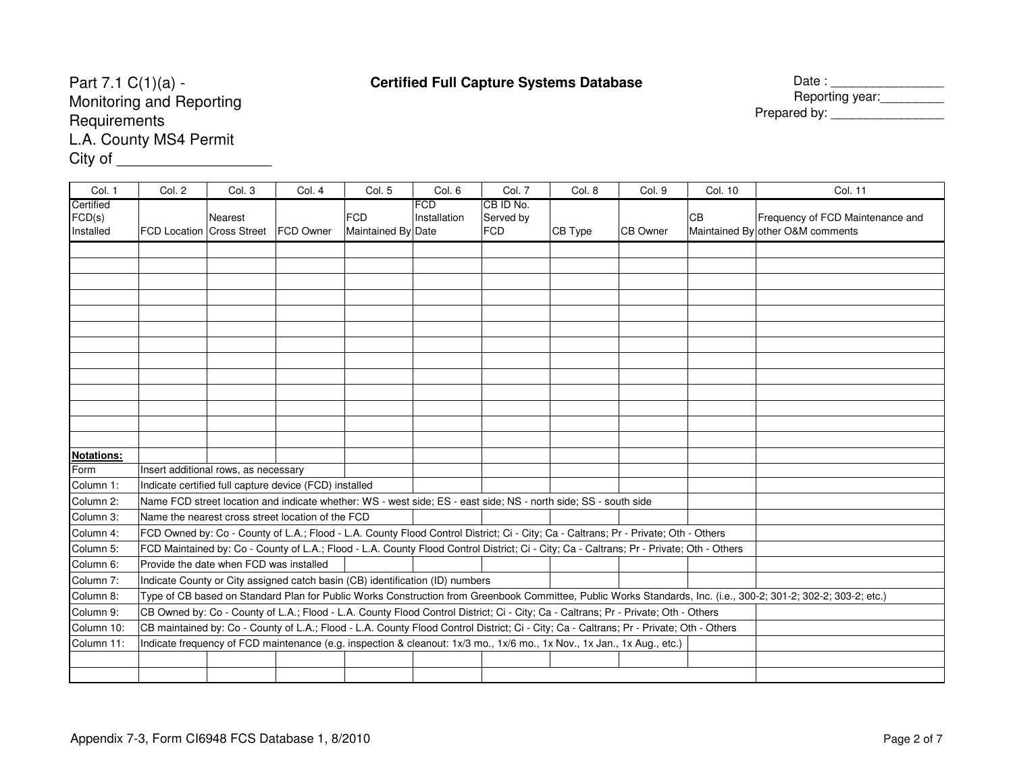## **Certified Full Capture Systems Database**

| е | Date:           |
|---|-----------------|
|   | Reporting year: |
|   | Prepared by:    |

Part 7.1 C(1)(a) - Monitoring and Reporting**Requirements**  L.A. County MS4 PermitCity of \_\_\_\_\_\_\_\_\_\_\_\_\_\_\_\_\_\_\_\_\_\_\_\_\_

| <b>FCD</b><br>CB ID No.<br>Certified<br>FCD(s)<br><b>FCD</b><br><b>CB</b><br>Frequency of FCD Maintenance and<br>Installation<br><b>Nearest</b><br>Served by<br>Maintained By other O&M comments<br>Installed<br><b>FCD Location Cross Street</b><br><b>FCD Owner</b><br>Maintained By Date<br><b>FCD</b><br>CB Type<br><b>CB Owner</b> |  |
|-----------------------------------------------------------------------------------------------------------------------------------------------------------------------------------------------------------------------------------------------------------------------------------------------------------------------------------------|--|
|                                                                                                                                                                                                                                                                                                                                         |  |
|                                                                                                                                                                                                                                                                                                                                         |  |
|                                                                                                                                                                                                                                                                                                                                         |  |
|                                                                                                                                                                                                                                                                                                                                         |  |
|                                                                                                                                                                                                                                                                                                                                         |  |
|                                                                                                                                                                                                                                                                                                                                         |  |
|                                                                                                                                                                                                                                                                                                                                         |  |
|                                                                                                                                                                                                                                                                                                                                         |  |
|                                                                                                                                                                                                                                                                                                                                         |  |
|                                                                                                                                                                                                                                                                                                                                         |  |
|                                                                                                                                                                                                                                                                                                                                         |  |
|                                                                                                                                                                                                                                                                                                                                         |  |
|                                                                                                                                                                                                                                                                                                                                         |  |
|                                                                                                                                                                                                                                                                                                                                         |  |
| Notations:<br>Insert additional rows, as necessary<br>Form                                                                                                                                                                                                                                                                              |  |
| Column 1:<br>Indicate certified full capture device (FCD) installed                                                                                                                                                                                                                                                                     |  |
| Column 2:<br>Name FCD street location and indicate whether: WS - west side; ES - east side; NS - north side; SS - south side                                                                                                                                                                                                            |  |
| Column 3:<br>Name the nearest cross street location of the FCD                                                                                                                                                                                                                                                                          |  |
| FCD Owned by: Co - County of L.A.; Flood - L.A. County Flood Control District; Ci - City; Ca - Caltrans; Pr - Private; Oth - Others<br>Column 4:                                                                                                                                                                                        |  |
| Column 5:<br>FCD Maintained by: Co - County of L.A.; Flood - L.A. County Flood Control District; Ci - City; Ca - Caltrans; Pr - Private; Oth - Others                                                                                                                                                                                   |  |
| Provide the date when FCD was installed<br>Column 6:                                                                                                                                                                                                                                                                                    |  |
| Column 7:<br>Indicate County or City assigned catch basin (CB) identification (ID) numbers                                                                                                                                                                                                                                              |  |
| Type of CB based on Standard Plan for Public Works Construction from Greenbook Committee, Public Works Standards, Inc. (i.e., 300-2; 301-2; 302-2; 303-2; etc.)<br>Column 8:                                                                                                                                                            |  |
| Column 9:<br>CB Owned by: Co - County of L.A.; Flood - L.A. County Flood Control District; Ci - City; Ca - Caltrans; Pr - Private; Oth - Others                                                                                                                                                                                         |  |
| CB maintained by: Co - County of L.A.; Flood - L.A. County Flood Control District; Ci - City; Ca - Caltrans; Pr - Private; Oth - Others<br>Column 10:                                                                                                                                                                                   |  |
| Indicate frequency of FCD maintenance (e.g. inspection & cleanout: 1x/3 mo., 1x/6 mo., 1x Nov., 1x Jan., 1x Aug., etc.)<br>Column 11:                                                                                                                                                                                                   |  |
|                                                                                                                                                                                                                                                                                                                                         |  |
|                                                                                                                                                                                                                                                                                                                                         |  |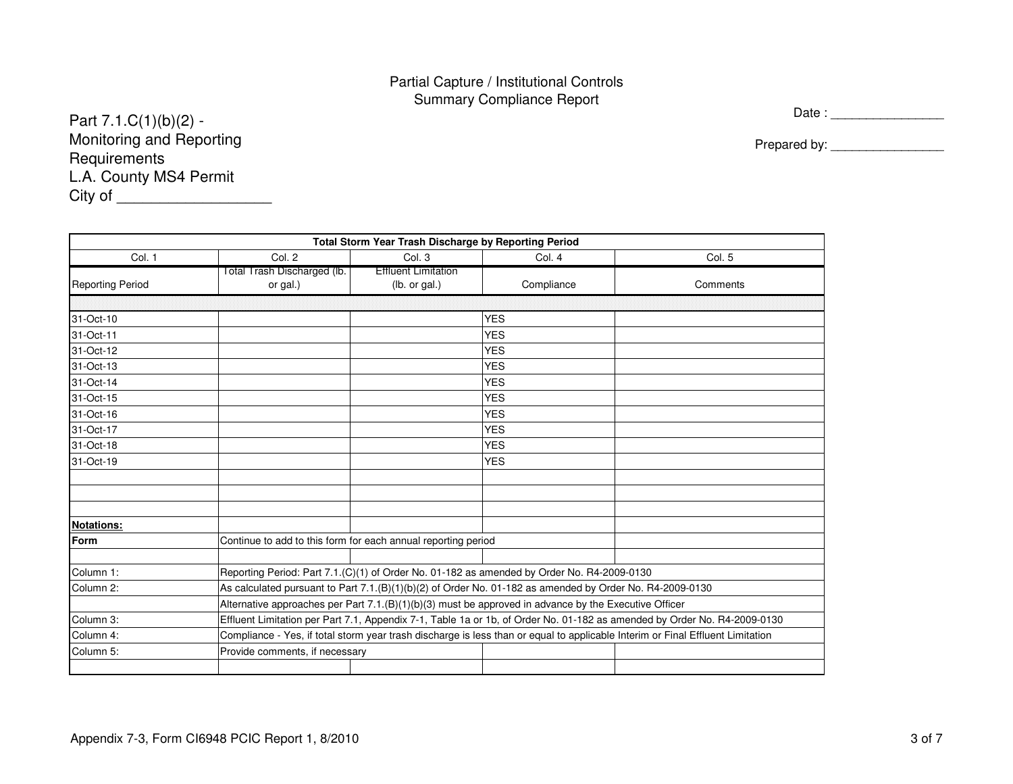#### Partial Capture / Institutional ControlsSummary Compliance Report

Part 7.1.C(1)(b)(2) - Monitoring and Reporting**Requirements**  L.A. County MS4 PermitCity of \_\_\_\_\_\_\_\_\_\_\_\_\_\_\_\_\_\_\_\_\_\_\_\_\_ Date : \_\_\_\_\_\_\_\_\_\_\_\_\_\_\_\_

Prepared by: \_\_\_\_\_\_\_\_\_\_\_\_\_\_\_\_

 $\overline{\phantom{0}}$ 

| Total Storm Year Trash Discharge by Reporting Period |                                                               |                            |                                                                                                          |                                                                                                                                |  |  |  |  |  |  |
|------------------------------------------------------|---------------------------------------------------------------|----------------------------|----------------------------------------------------------------------------------------------------------|--------------------------------------------------------------------------------------------------------------------------------|--|--|--|--|--|--|
| Col. 1                                               | Col. 2                                                        | Col. 3                     | Col. 4                                                                                                   | Col. 5                                                                                                                         |  |  |  |  |  |  |
|                                                      | Total Trash Discharged (lb.                                   | <b>Effluent Limitation</b> |                                                                                                          |                                                                                                                                |  |  |  |  |  |  |
| <b>Reporting Period</b>                              | or gal.)                                                      | (lb. or gal.)              | Compliance                                                                                               | Comments                                                                                                                       |  |  |  |  |  |  |
|                                                      |                                                               |                            |                                                                                                          |                                                                                                                                |  |  |  |  |  |  |
| 31-Oct-10                                            |                                                               |                            | <b>YES</b>                                                                                               |                                                                                                                                |  |  |  |  |  |  |
| 31-Oct-11                                            |                                                               |                            | <b>YES</b>                                                                                               |                                                                                                                                |  |  |  |  |  |  |
| 31-Oct-12                                            |                                                               |                            | <b>YES</b>                                                                                               |                                                                                                                                |  |  |  |  |  |  |
| 31-Oct-13                                            |                                                               |                            | <b>YES</b>                                                                                               |                                                                                                                                |  |  |  |  |  |  |
| 31-Oct-14                                            |                                                               |                            | <b>YES</b>                                                                                               |                                                                                                                                |  |  |  |  |  |  |
| 31-Oct-15                                            |                                                               |                            | <b>YES</b>                                                                                               |                                                                                                                                |  |  |  |  |  |  |
| 31-Oct-16                                            |                                                               |                            | <b>YES</b>                                                                                               |                                                                                                                                |  |  |  |  |  |  |
| 31-Oct-17                                            |                                                               |                            | <b>YES</b>                                                                                               |                                                                                                                                |  |  |  |  |  |  |
| 31-Oct-18                                            |                                                               |                            | <b>YES</b>                                                                                               |                                                                                                                                |  |  |  |  |  |  |
| 31-Oct-19                                            |                                                               |                            | <b>YES</b>                                                                                               |                                                                                                                                |  |  |  |  |  |  |
|                                                      |                                                               |                            |                                                                                                          |                                                                                                                                |  |  |  |  |  |  |
|                                                      |                                                               |                            |                                                                                                          |                                                                                                                                |  |  |  |  |  |  |
|                                                      |                                                               |                            |                                                                                                          |                                                                                                                                |  |  |  |  |  |  |
| <b>Notations:</b>                                    |                                                               |                            |                                                                                                          |                                                                                                                                |  |  |  |  |  |  |
| Form                                                 | Continue to add to this form for each annual reporting period |                            |                                                                                                          |                                                                                                                                |  |  |  |  |  |  |
|                                                      |                                                               |                            |                                                                                                          |                                                                                                                                |  |  |  |  |  |  |
| Column 1:                                            |                                                               |                            | Reporting Period: Part 7.1.(C)(1) of Order No. 01-182 as amended by Order No. R4-2009-0130               |                                                                                                                                |  |  |  |  |  |  |
| Column 2:                                            |                                                               |                            | As calculated pursuant to Part 7.1.(B)(1)(b)(2) of Order No. 01-182 as amended by Order No. R4-2009-0130 |                                                                                                                                |  |  |  |  |  |  |
|                                                      |                                                               |                            | Alternative approaches per Part 7.1.(B)(1)(b)(3) must be approved in advance by the Executive Officer    |                                                                                                                                |  |  |  |  |  |  |
| Column 3:                                            |                                                               |                            |                                                                                                          | Effluent Limitation per Part 7.1, Appendix 7-1, Table 1a or 1b, of Order No. 01-182 as amended by Order No. R4-2009-0130       |  |  |  |  |  |  |
| Column 4:                                            |                                                               |                            |                                                                                                          | Compliance - Yes, if total storm year trash discharge is less than or equal to applicable Interim or Final Effluent Limitation |  |  |  |  |  |  |
| Column 5:                                            | Provide comments, if necessary                                |                            |                                                                                                          |                                                                                                                                |  |  |  |  |  |  |
|                                                      |                                                               |                            |                                                                                                          |                                                                                                                                |  |  |  |  |  |  |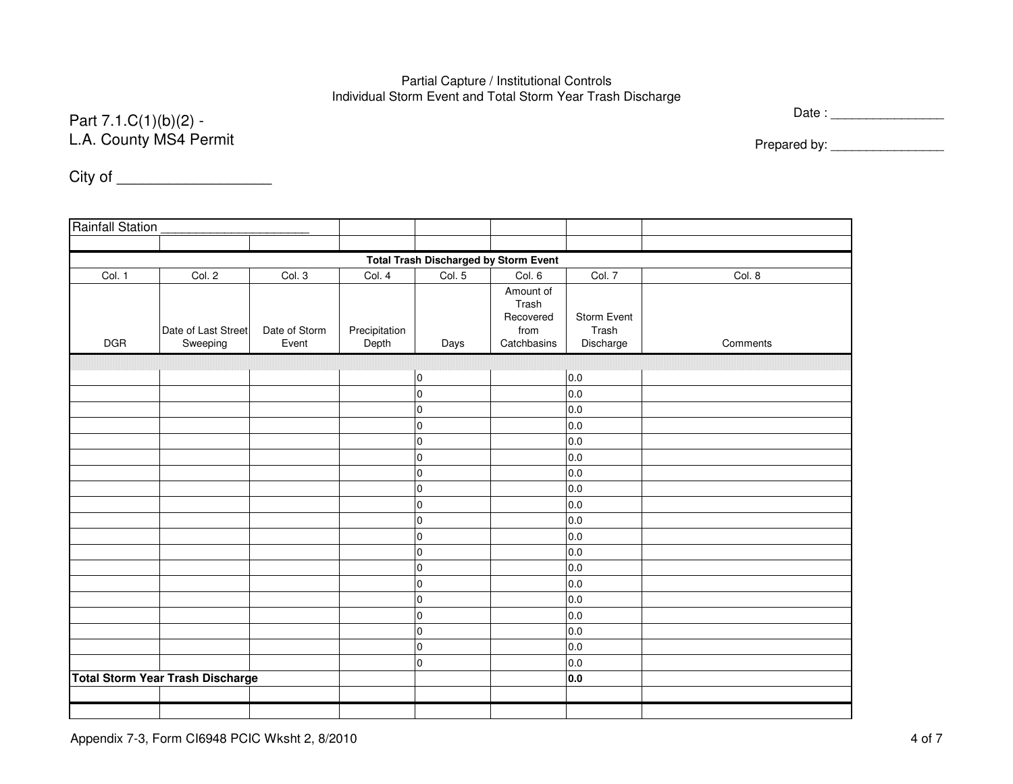#### Partial Capture / Institutional ControlsIndividual Storm Event and Total Storm Year Trash Discharge

## Part 7.1.C(1)(b)(2) - L.A. County MS4 Permit

Date : \_\_\_\_\_\_\_\_\_\_\_\_\_\_\_\_

Prepared by: \_\_\_\_\_\_\_\_\_\_\_\_\_\_\_\_

City of \_\_\_\_\_\_\_\_\_\_\_\_\_\_\_\_\_\_

| <b>Rainfall Station</b>                      |                                         |                        |                        |                |                                                        |                                   |          |  |  |  |
|----------------------------------------------|-----------------------------------------|------------------------|------------------------|----------------|--------------------------------------------------------|-----------------------------------|----------|--|--|--|
|                                              |                                         |                        |                        |                |                                                        |                                   |          |  |  |  |
| <b>Total Trash Discharged by Storm Event</b> |                                         |                        |                        |                |                                                        |                                   |          |  |  |  |
| Col. 1                                       | Col. 2                                  | Col. 3                 | Col. 4                 | Col. 5         | Col. 6                                                 | Col. 7                            | Col. 8   |  |  |  |
| <b>DGR</b>                                   | Date of Last Street<br>Sweeping         | Date of Storm<br>Event | Precipitation<br>Depth | Days           | Amount of<br>Trash<br>Recovered<br>from<br>Catchbasins | Storm Event<br>Trash<br>Discharge | Comments |  |  |  |
|                                              |                                         |                        |                        |                |                                                        |                                   |          |  |  |  |
|                                              |                                         |                        |                        | $\overline{0}$ |                                                        | 0.0                               |          |  |  |  |
|                                              |                                         |                        |                        | $\overline{0}$ |                                                        | 0.0                               |          |  |  |  |
|                                              |                                         |                        |                        | $\mathbf 0$    |                                                        | 0.0                               |          |  |  |  |
|                                              |                                         |                        |                        | $\overline{0}$ |                                                        | 0.0                               |          |  |  |  |
|                                              |                                         |                        |                        | $\overline{0}$ |                                                        | 0.0                               |          |  |  |  |
|                                              |                                         |                        |                        | $\overline{0}$ |                                                        | 0.0                               |          |  |  |  |
|                                              |                                         |                        |                        | $\overline{0}$ |                                                        | 0.0                               |          |  |  |  |
|                                              |                                         |                        |                        | $\mathbf 0$    |                                                        | 0.0                               |          |  |  |  |
|                                              |                                         |                        |                        | $\overline{0}$ |                                                        | 0.0                               |          |  |  |  |
|                                              |                                         |                        |                        | $\overline{0}$ |                                                        | 0.0                               |          |  |  |  |
|                                              |                                         |                        |                        | $\mathbf 0$    |                                                        | 0.0                               |          |  |  |  |
|                                              |                                         |                        |                        | $\mathbf 0$    |                                                        | 0.0                               |          |  |  |  |
|                                              |                                         |                        |                        | $\overline{0}$ |                                                        | 0.0                               |          |  |  |  |
|                                              |                                         |                        |                        | $\mathbf 0$    |                                                        | 0.0                               |          |  |  |  |
|                                              |                                         |                        |                        | $\mathbf 0$    |                                                        | 0.0                               |          |  |  |  |
|                                              |                                         |                        |                        | $\overline{0}$ |                                                        | 0.0                               |          |  |  |  |
|                                              |                                         |                        |                        | $\mathbf 0$    |                                                        | 0.0                               |          |  |  |  |
|                                              |                                         |                        |                        | $\overline{0}$ |                                                        | 0.0                               |          |  |  |  |
|                                              |                                         |                        |                        | $\mathbf 0$    |                                                        | 0.0                               |          |  |  |  |
|                                              | <b>Total Storm Year Trash Discharge</b> |                        |                        |                |                                                        | 0.0                               |          |  |  |  |
|                                              |                                         |                        |                        |                |                                                        |                                   |          |  |  |  |
|                                              |                                         |                        |                        |                |                                                        |                                   |          |  |  |  |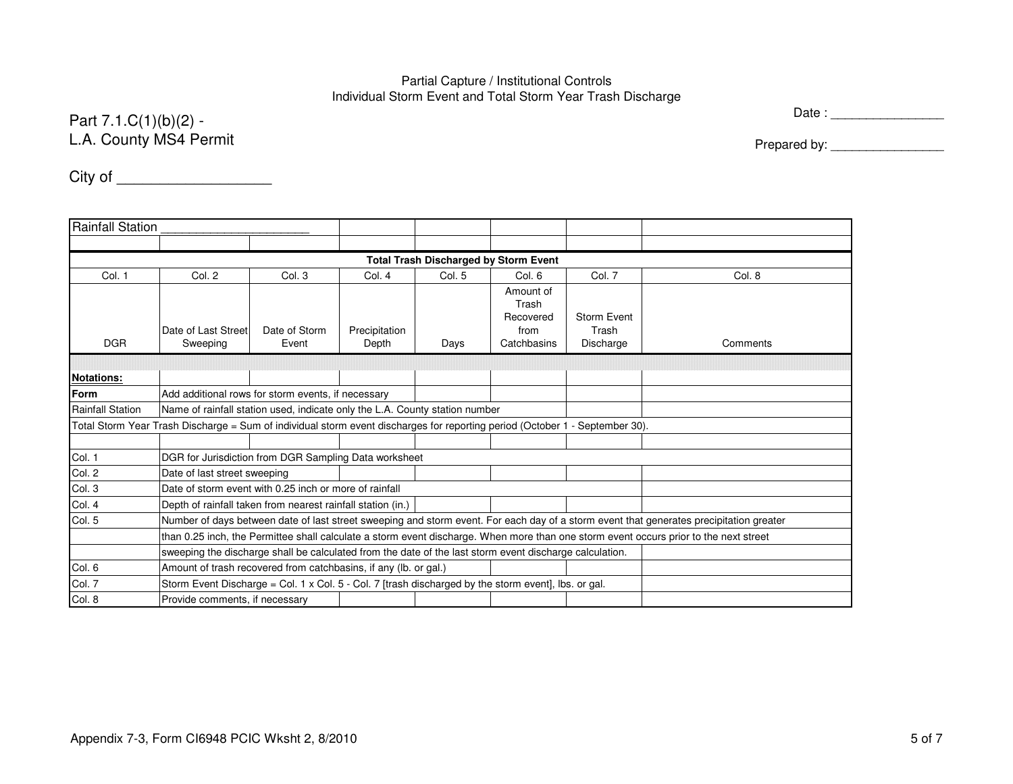#### Partial Capture / Institutional ControlsIndividual Storm Event and Total Storm Year Trash Discharge

## Part 7.1.C(1)(b)(2) - L.A. County MS4 Permit

Date : \_\_\_\_\_\_\_\_\_\_\_\_\_\_\_\_

Prepared by: \_\_\_\_\_\_\_\_\_\_\_\_\_\_\_\_

City of \_\_\_\_\_\_\_\_\_\_\_\_\_\_\_\_\_\_

| <b>Rainfall Station</b>                      |                                                                                                                                       |               |               |        |                    |             |                                                                                                                                         |  |  |  |  |
|----------------------------------------------|---------------------------------------------------------------------------------------------------------------------------------------|---------------|---------------|--------|--------------------|-------------|-----------------------------------------------------------------------------------------------------------------------------------------|--|--|--|--|
|                                              |                                                                                                                                       |               |               |        |                    |             |                                                                                                                                         |  |  |  |  |
| <b>Total Trash Discharged by Storm Event</b> |                                                                                                                                       |               |               |        |                    |             |                                                                                                                                         |  |  |  |  |
| Col. 1                                       | Col. 2                                                                                                                                | Col. 3        | Col. 4        | Col. 5 | Col. 6             | Col. 7      | Col. 8                                                                                                                                  |  |  |  |  |
|                                              |                                                                                                                                       |               |               |        | Amount of          |             |                                                                                                                                         |  |  |  |  |
|                                              |                                                                                                                                       |               |               |        | Trash<br>Recovered | Storm Event |                                                                                                                                         |  |  |  |  |
|                                              | Date of Last Street                                                                                                                   | Date of Storm | Precipitation |        | from               | Trash       |                                                                                                                                         |  |  |  |  |
| <b>DGR</b>                                   | Sweeping                                                                                                                              | Event         | Depth         | Days   | Catchbasins        | Discharge   | Comments                                                                                                                                |  |  |  |  |
|                                              |                                                                                                                                       |               |               |        |                    |             |                                                                                                                                         |  |  |  |  |
| <b>Notations:</b>                            |                                                                                                                                       |               |               |        |                    |             |                                                                                                                                         |  |  |  |  |
| Form                                         | Add additional rows for storm events, if necessary                                                                                    |               |               |        |                    |             |                                                                                                                                         |  |  |  |  |
| <b>Rainfall Station</b>                      | Name of rainfall station used, indicate only the L.A. County station number                                                           |               |               |        |                    |             |                                                                                                                                         |  |  |  |  |
|                                              | Total Storm Year Trash Discharge = Sum of individual storm event discharges for reporting period (October 1 - September 30).          |               |               |        |                    |             |                                                                                                                                         |  |  |  |  |
|                                              |                                                                                                                                       |               |               |        |                    |             |                                                                                                                                         |  |  |  |  |
| Col. 1                                       | DGR for Jurisdiction from DGR Sampling Data worksheet                                                                                 |               |               |        |                    |             |                                                                                                                                         |  |  |  |  |
| Col. 2                                       | Date of last street sweeping                                                                                                          |               |               |        |                    |             |                                                                                                                                         |  |  |  |  |
| Col. 3                                       | Date of storm event with 0.25 inch or more of rainfall                                                                                |               |               |        |                    |             |                                                                                                                                         |  |  |  |  |
| Col. 4                                       | Depth of rainfall taken from nearest rainfall station (in.)                                                                           |               |               |        |                    |             |                                                                                                                                         |  |  |  |  |
| Col. 5                                       |                                                                                                                                       |               |               |        |                    |             | Number of days between date of last street sweeping and storm event. For each day of a storm event that generates precipitation greater |  |  |  |  |
|                                              | than 0.25 inch, the Permittee shall calculate a storm event discharge. When more than one storm event occurs prior to the next street |               |               |        |                    |             |                                                                                                                                         |  |  |  |  |
|                                              | sweeping the discharge shall be calculated from the date of the last storm event discharge calculation.                               |               |               |        |                    |             |                                                                                                                                         |  |  |  |  |
| Col. 6                                       | Amount of trash recovered from catchbasins, if any (lb. or gal.)                                                                      |               |               |        |                    |             |                                                                                                                                         |  |  |  |  |
| Col. 7                                       | Storm Event Discharge = Col. 1 x Col. 5 - Col. 7 [trash discharged by the storm event], lbs. or gal.                                  |               |               |        |                    |             |                                                                                                                                         |  |  |  |  |
| Col. 8                                       | Provide comments, if necessary                                                                                                        |               |               |        |                    |             |                                                                                                                                         |  |  |  |  |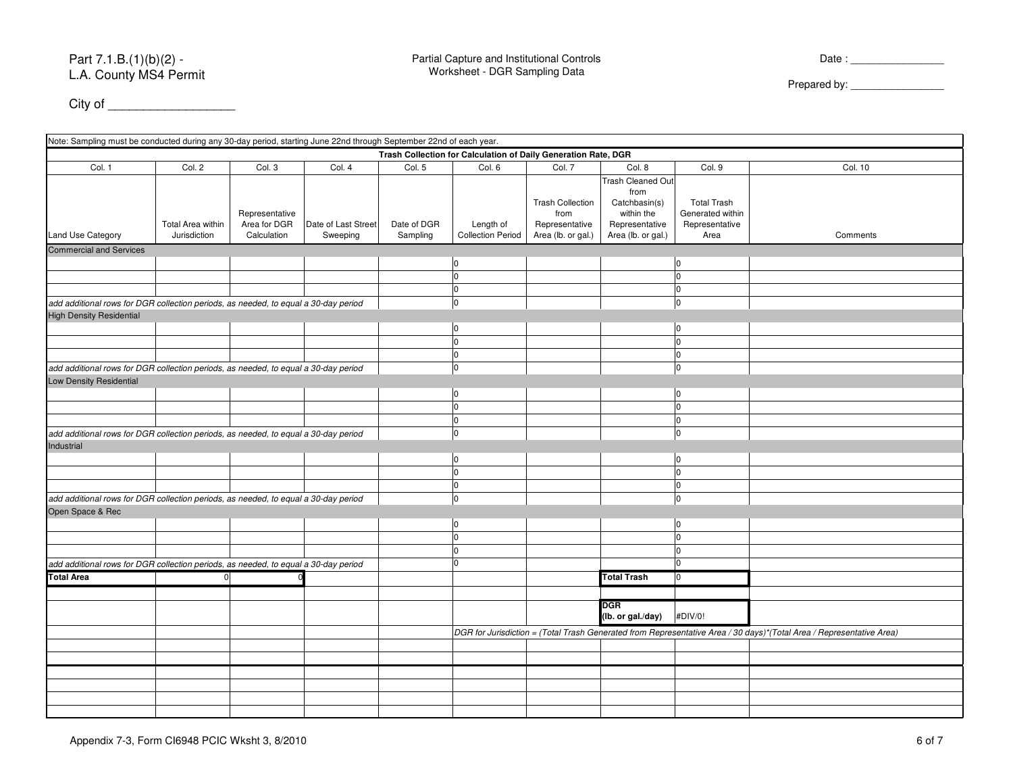| Col. 1                                                                              | Col. 2            | Col. 3         | Col. 4              | Col. 5      | Col. 6                   | Col. 7                  | Col. 8                   | Col. 9             | Col. 10                                                                                                              |
|-------------------------------------------------------------------------------------|-------------------|----------------|---------------------|-------------|--------------------------|-------------------------|--------------------------|--------------------|----------------------------------------------------------------------------------------------------------------------|
|                                                                                     |                   |                |                     |             |                          |                         | <b>Trash Cleaned Out</b> |                    |                                                                                                                      |
|                                                                                     |                   |                |                     |             |                          |                         | from                     |                    |                                                                                                                      |
|                                                                                     |                   |                |                     |             |                          | <b>Trash Collection</b> | Catchbasin(s)            | <b>Total Trash</b> |                                                                                                                      |
|                                                                                     |                   | Representative |                     |             |                          | from                    | within the               | Generated within   |                                                                                                                      |
|                                                                                     | Total Area within | Area for DGR   | Date of Last Street | Date of DGR | Length of                | Representative          | Representative           | Representative     |                                                                                                                      |
| Land Use Category                                                                   | Jurisdiction      | Calculation    | Sweeping            | Sampling    | <b>Collection Period</b> | Area (lb. or gal.)      | Area (lb. or gal.)       | Area               | Comments                                                                                                             |
| <b>Commercial and Services</b>                                                      |                   |                |                     |             |                          |                         |                          |                    |                                                                                                                      |
|                                                                                     |                   |                |                     |             | I٥                       |                         |                          | lo.                |                                                                                                                      |
|                                                                                     |                   |                |                     |             | I٥                       |                         |                          | $\mathbf 0$        |                                                                                                                      |
|                                                                                     |                   |                |                     |             | $\Omega$                 |                         |                          | $\Omega$           |                                                                                                                      |
| add additional rows for DGR collection periods, as needed, to equal a 30-day period |                   |                |                     |             | I٥                       |                         |                          | $\Omega$           |                                                                                                                      |
| <b>High Density Residential</b>                                                     |                   |                |                     |             |                          |                         |                          |                    |                                                                                                                      |
|                                                                                     |                   |                |                     |             | I٥                       |                         |                          | I٥                 |                                                                                                                      |
|                                                                                     |                   |                |                     |             | I٥                       |                         |                          | $\overline{0}$     |                                                                                                                      |
|                                                                                     |                   |                |                     |             | I٥                       |                         |                          | $\overline{0}$     |                                                                                                                      |
| add additional rows for DGR collection periods, as needed, to equal a 30-day period |                   |                |                     |             | I٥                       |                         |                          | I٥                 |                                                                                                                      |
| <b>Low Density Residential</b>                                                      |                   |                |                     |             |                          |                         |                          |                    |                                                                                                                      |
|                                                                                     |                   |                |                     |             | I٥                       |                         |                          | I٥                 |                                                                                                                      |
|                                                                                     |                   |                |                     |             | I٥                       |                         |                          | I٥                 |                                                                                                                      |
|                                                                                     |                   |                |                     |             | $\Omega$                 |                         |                          | $\Omega$           |                                                                                                                      |
| add additional rows for DGR collection periods, as needed, to equal a 30-day period |                   |                |                     |             | lo.                      |                         |                          | lo                 |                                                                                                                      |
| Industrial                                                                          |                   |                |                     |             |                          |                         |                          |                    |                                                                                                                      |
|                                                                                     |                   |                |                     |             | I٥                       |                         |                          | I٥                 |                                                                                                                      |
|                                                                                     |                   |                |                     |             | I٥                       |                         |                          | lo                 |                                                                                                                      |
|                                                                                     |                   |                |                     |             | I٥                       |                         |                          | lo                 |                                                                                                                      |
| add additional rows for DGR collection periods, as needed, to equal a 30-day period |                   |                |                     |             | I٥                       |                         |                          | $\overline{0}$     |                                                                                                                      |
| Open Space & Rec                                                                    |                   |                |                     |             |                          |                         |                          |                    |                                                                                                                      |
|                                                                                     |                   |                |                     |             | I٥                       |                         |                          | I٥                 |                                                                                                                      |
|                                                                                     |                   |                |                     |             | I٥                       |                         |                          | lo                 |                                                                                                                      |
|                                                                                     |                   |                |                     |             | I٥                       |                         |                          | $\overline{0}$     |                                                                                                                      |
| add additional rows for DGR collection periods, as needed, to equal a 30-day period |                   |                |                     |             | $\Omega$                 |                         |                          | I٥                 |                                                                                                                      |
| <b>Total Area</b>                                                                   | 0                 |                |                     |             |                          |                         | <b>Total Trash</b>       | $\overline{0}$     |                                                                                                                      |
|                                                                                     |                   |                |                     |             |                          |                         |                          |                    |                                                                                                                      |
|                                                                                     |                   |                |                     |             |                          |                         |                          |                    |                                                                                                                      |
|                                                                                     |                   |                |                     |             |                          |                         | DGR<br>(lb. or gal./day) | #DIV/0!            |                                                                                                                      |
|                                                                                     |                   |                |                     |             |                          |                         |                          |                    |                                                                                                                      |
|                                                                                     |                   |                |                     |             |                          |                         |                          |                    | DGR for Jurisdiction = (Total Trash Generated from Representative Area / 30 days)*(Total Area / Representative Area) |
|                                                                                     |                   |                |                     |             |                          |                         |                          |                    |                                                                                                                      |
|                                                                                     |                   |                |                     |             |                          |                         |                          |                    |                                                                                                                      |
|                                                                                     |                   |                |                     |             |                          |                         |                          |                    |                                                                                                                      |
|                                                                                     |                   |                |                     |             |                          |                         |                          |                    |                                                                                                                      |
|                                                                                     |                   |                |                     |             |                          |                         |                          |                    |                                                                                                                      |
|                                                                                     |                   |                |                     |             |                          |                         |                          |                    |                                                                                                                      |

City of \_\_\_\_\_\_\_\_\_\_\_\_\_\_\_\_\_\_

Note: Sampling must be conducted during any 30-day period, starting June 22nd through September 22nd of each year.

**Trash Collection for Calculation of Daily Generation Rate, DGR**

Prepared by:

Date : \_\_\_\_\_\_\_\_\_\_\_\_\_\_\_\_\_\_\_\_\_\_\_

 $\sim$  6 of 7 cm  $\sim$  6 of 7

Appendix 7-3, Form CI6948 PCIC Wksht 3, 8/2010